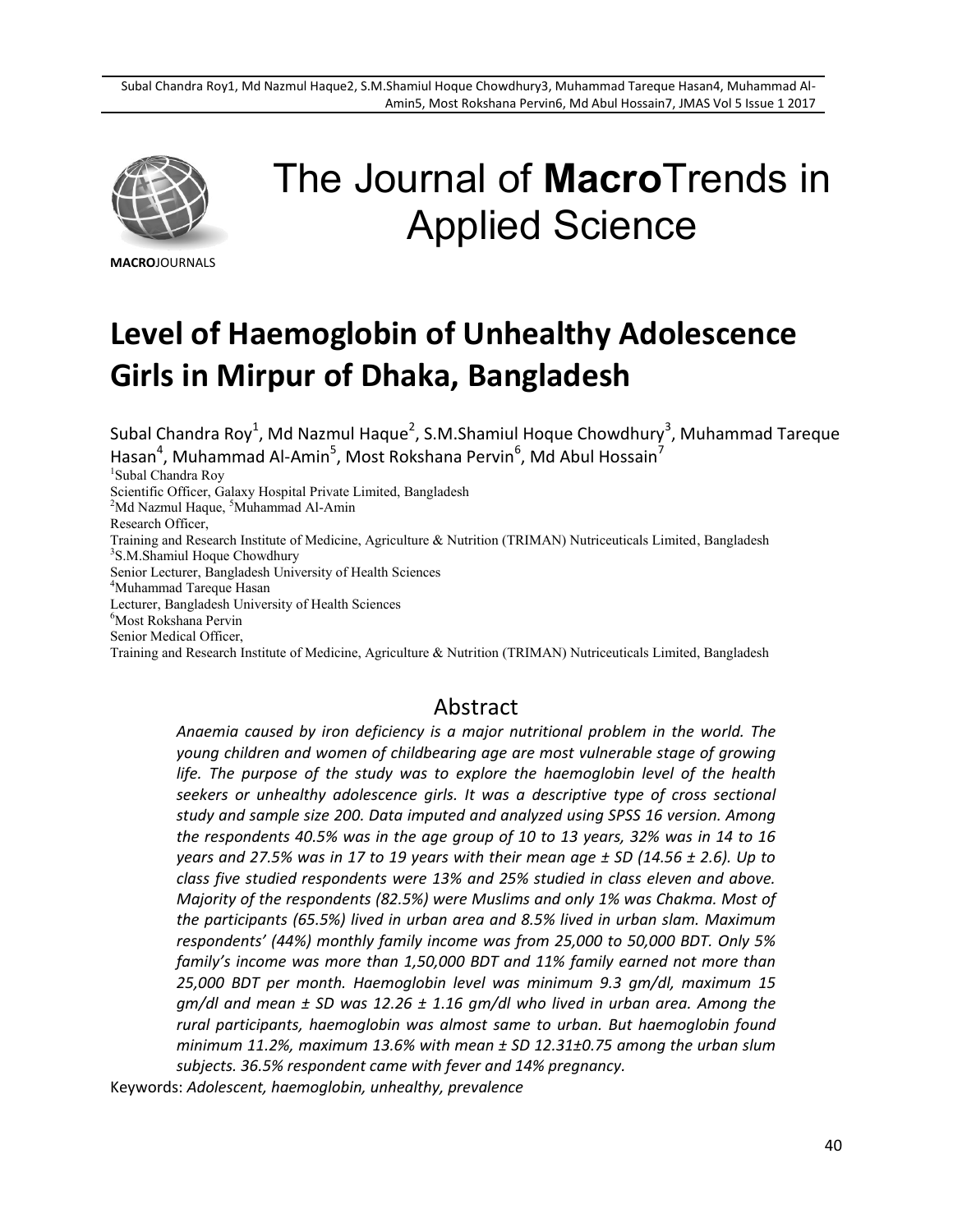

# The Journal of **Macro**Trends in Applied Science

**MACRO**JOURNALS

## **Level of Haemoglobin of Unhealthy Adolescence Girls in Mirpur of Dhaka, Bangladesh**

Subal Chandra Roy<sup>1</sup>, Md Nazmul Haque<sup>2</sup>, S.M.Shamiul Hoque Chowdhury<sup>3</sup>, Muhammad Tareque Hasan<sup>4</sup>, Muhammad Al-Amin<sup>5</sup>, Most Rokshana Pervin<sup>6</sup>, Md Abul Hossain<sup>7</sup>

1 Subal Chandra Roy

Scientific Officer, Galaxy Hospital Private Limited, Bangladesh

<sup>2</sup>Md Nazmul Haque, <sup>5</sup>Muhammad Al-Amin

Research Officer,

Training and Research Institute of Medicine, Agriculture & Nutrition (TRIMAN) Nutriceuticals Limited, Bangladesh 3 S.M.Shamiul Hoque Chowdhury

Senior Lecturer, Bangladesh University of Health Sciences

<sup>4</sup>Muhammad Tareque Hasan

Lecturer, Bangladesh University of Health Sciences

<sup>6</sup>Most Rokshana Pervin

Senior Medical Officer,

Training and Research Institute of Medicine, Agriculture & Nutrition (TRIMAN) Nutriceuticals Limited, Bangladesh

### Abstract

*Anaemia caused by iron deficiency is a major nutritional problem in the world. The young children and women of childbearing age are most vulnerable stage of growing life. The purpose of the study was to explore the haemoglobin level of the health seekers or unhealthy adolescence girls. It was a descriptive type of cross sectional study and sample size 200. Data imputed and analyzed using SPSS 16 version. Among the respondents 40.5% was in the age group of 10 to 13 years, 32% was in 14 to 16 years and 27.5% was in 17 to 19 years with their mean age ± SD (14.56 ± 2.6). Up to class five studied respondents were 13% and 25% studied in class eleven and above. Majority of the respondents (82.5%) were Muslims and only 1% was Chakma. Most of the participants (65.5%) lived in urban area and 8.5% lived in urban slam. Maximum respondents' (44%) monthly family income was from 25,000 to 50,000 BDT. Only 5% family's income was more than 1,50,000 BDT and 11% family earned not more than 25,000 BDT per month. Haemoglobin level was minimum 9.3 gm/dl, maximum 15 gm/dl and mean ± SD was 12.26 ± 1.16 gm/dl who lived in urban area. Among the rural participants, haemoglobin was almost same to urban. But haemoglobin found minimum 11.2%, maximum 13.6% with mean ± SD 12.31±0.75 among the urban slum subjects. 36.5% respondent came with fever and 14% pregnancy.*

Keywords: *Adolescent, haemoglobin, unhealthy, prevalence*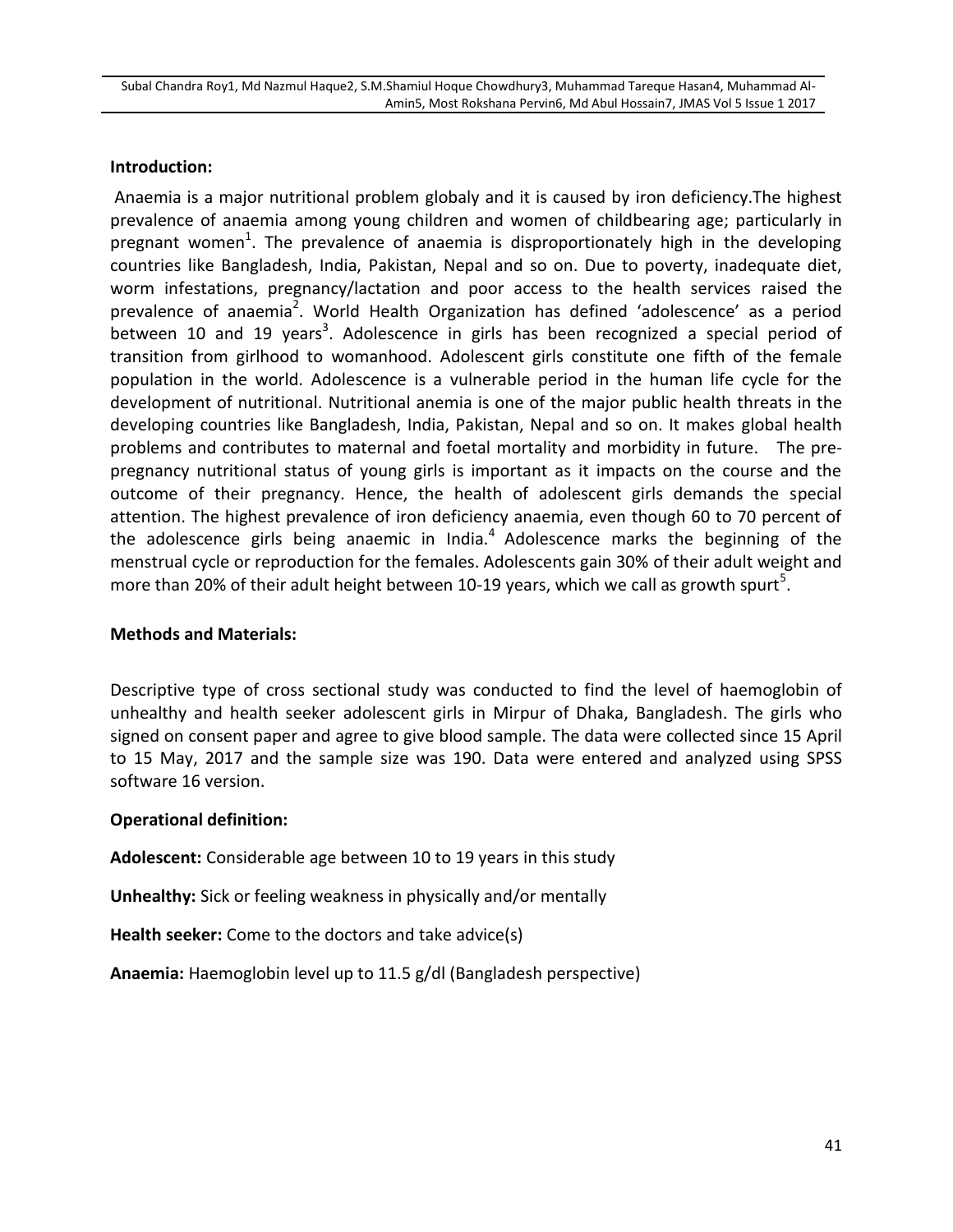#### **Introduction:**

Anaemia is a major nutritional problem globaly and it is caused by iron deficiency.The highest prevalence of anaemia among young children and women of childbearing age; particularly in pregnant women<sup>1</sup>. The prevalence of anaemia is disproportionately high in the developing countries like Bangladesh, India, Pakistan, Nepal and so on. Due to poverty, inadequate diet, worm infestations, pregnancy/lactation and poor access to the health services raised the prevalence of anaemia<sup>2</sup>. World Health Organization has defined 'adolescence' as a period between 10 and 19 years<sup>3</sup>. Adolescence in girls has been recognized a special period of transition from girlhood to womanhood. Adolescent girls constitute one fifth of the female population in the world. Adolescence is a vulnerable period in the human life cycle for the development of nutritional. Nutritional anemia is one of the major public health threats in the developing countries like Bangladesh, India, Pakistan, Nepal and so on. It makes global health problems and contributes to maternal and foetal mortality and morbidity in future. The prepregnancy nutritional status of young girls is important as it impacts on the course and the outcome of their pregnancy. Hence, the health of adolescent girls demands the special attention. The highest prevalence of iron deficiency anaemia, even though 60 to 70 percent of the adolescence girls being anaemic in India. $<sup>4</sup>$  Adolescence marks the beginning of the</sup> menstrual cycle or reproduction for the females. Adolescents gain 30% of their adult weight and more than 20% of their adult height between 10-19 years, which we call as growth spurt<sup>5</sup>.

#### **Methods and Materials:**

Descriptive type of cross sectional study was conducted to find the level of haemoglobin of unhealthy and health seeker adolescent girls in Mirpur of Dhaka, Bangladesh. The girls who signed on consent paper and agree to give blood sample. The data were collected since 15 April to 15 May, 2017 and the sample size was 190. Data were entered and analyzed using SPSS software 16 version.

#### **Operational definition:**

**Adolescent:** Considerable age between 10 to 19 years in this study

**Unhealthy:** Sick or feeling weakness in physically and/or mentally

**Health seeker:** Come to the doctors and take advice(s)

**Anaemia:** Haemoglobin level up to 11.5 g/dl (Bangladesh perspective)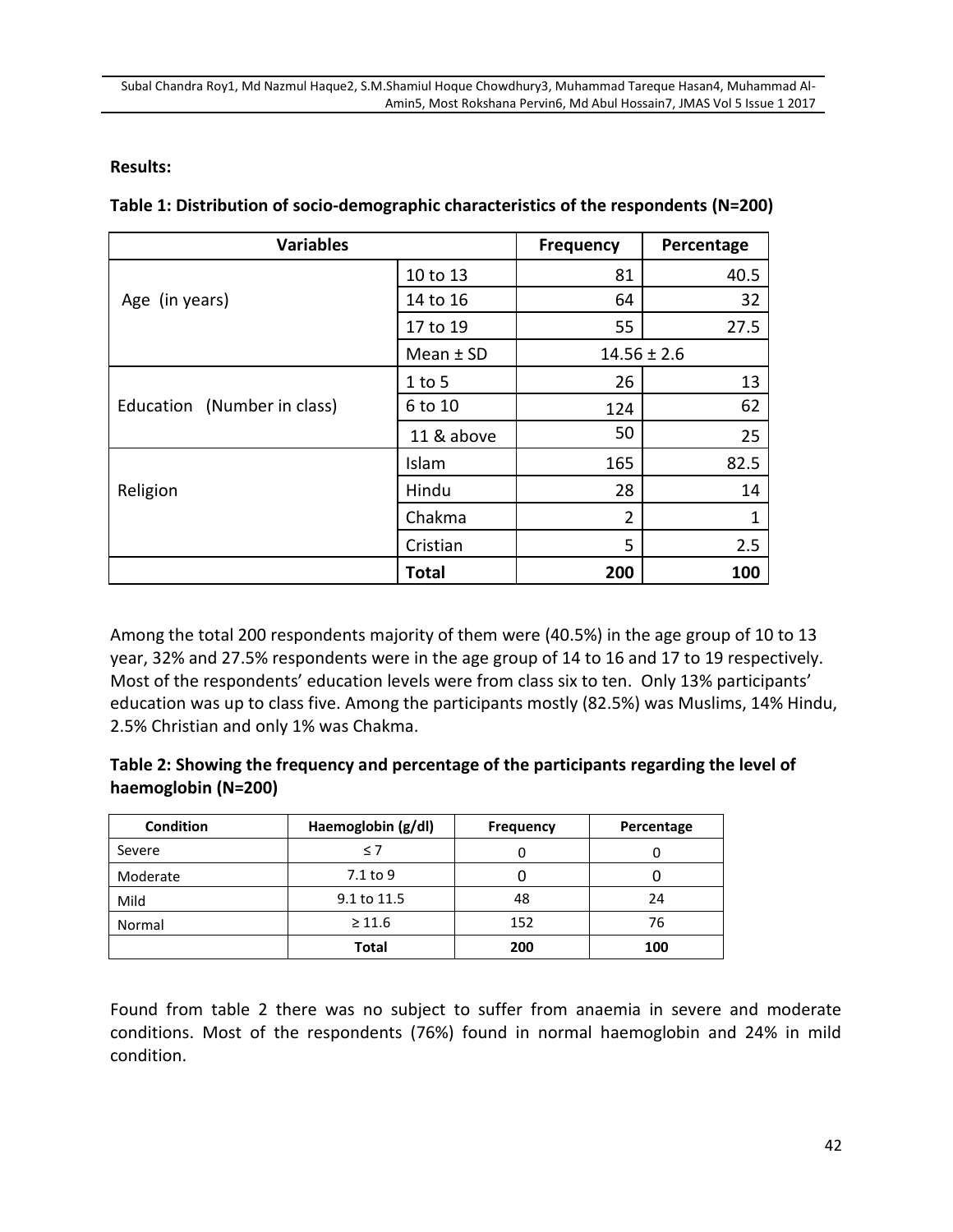#### **Results:**

| <b>Variables</b>            | <b>Frequency</b> | Percentage      |      |
|-----------------------------|------------------|-----------------|------|
|                             | 10 to 13         | 81              | 40.5 |
| Age (in years)              | 14 to 16         | 64              | 32   |
|                             | 17 to 19         | 55              | 27.5 |
|                             | Mean $±$ SD      | $14.56 \pm 2.6$ |      |
|                             | $1$ to 5         | 26              | 13   |
| Education (Number in class) | 6 to 10          | 124             | 62   |
|                             | 11 & above       | 50              | 25   |
|                             | Islam            | 165             | 82.5 |
| Religion                    | Hindu            | 28              | 14   |
|                             | Chakma           | $\overline{2}$  | 1    |
|                             | Cristian         | 5               | 2.5  |
|                             | <b>Total</b>     | 200             | 100  |

**Table 1: Distribution of socio-demographic characteristics of the respondents (N=200)**

Among the total 200 respondents majority of them were (40.5%) in the age group of 10 to 13 year, 32% and 27.5% respondents were in the age group of 14 to 16 and 17 to 19 respectively. Most of the respondents' education levels were from class six to ten. Only 13% participants' education was up to class five. Among the participants mostly (82.5%) was Muslims, 14% Hindu, 2.5% Christian and only 1% was Chakma.

#### **Table 2: Showing the frequency and percentage of the participants regarding the level of haemoglobin (N=200)**

| <b>Condition</b> | Haemoglobin (g/dl) | <b>Frequency</b> | Percentage |  |
|------------------|--------------------|------------------|------------|--|
| Severe           | $\leq 7$           |                  |            |  |
| Moderate         | 7.1 to 9           |                  |            |  |
| Mild             | 9.1 to 11.5        | 48               | 24         |  |
| Normal           | $\geq 11.6$        | 152              | 76         |  |
|                  | Total              | 200              | 100        |  |

Found from table 2 there was no subject to suffer from anaemia in severe and moderate conditions. Most of the respondents (76%) found in normal haemoglobin and 24% in mild condition.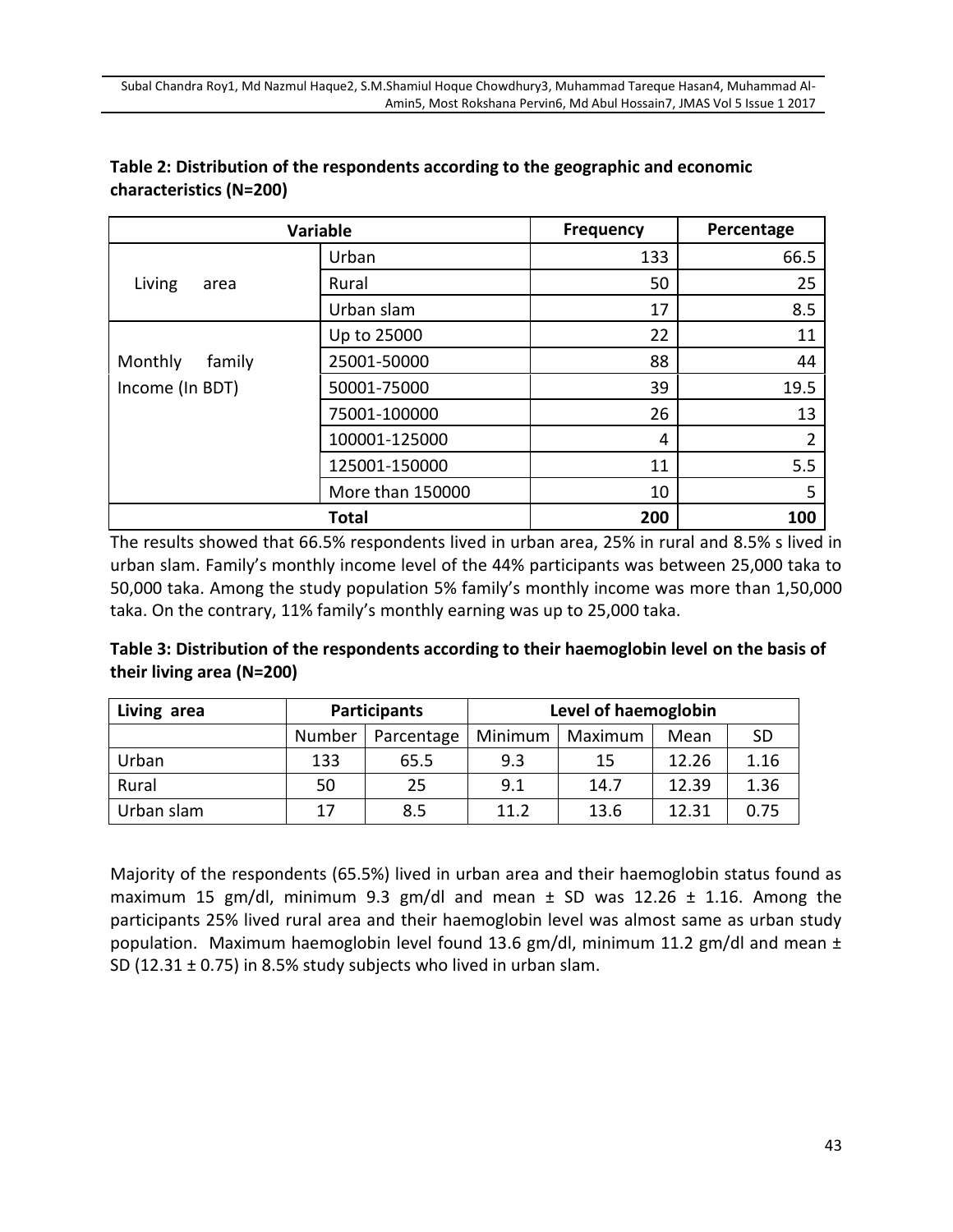| <b>Variable</b>   |                  | <b>Frequency</b> | Percentage     |  |
|-------------------|------------------|------------------|----------------|--|
|                   | Urban            | 133              | 66.5           |  |
| Living<br>area    | Rural            | 50               | 25             |  |
|                   | Urban slam       | 17               | 8.5            |  |
|                   | Up to 25000      | 22               | 11             |  |
| Monthly<br>family | 25001-50000      | 88               | 44             |  |
| Income (In BDT)   | 50001-75000      | 39               | 19.5           |  |
|                   | 75001-100000     | 26               | 13             |  |
|                   | 100001-125000    | 4                | $\overline{2}$ |  |
|                   | 125001-150000    | 11               | 5.5            |  |
|                   | More than 150000 | 10               | 5              |  |
| <b>Total</b>      |                  | 200              | 100            |  |

#### **Table 2: Distribution of the respondents according to the geographic and economic characteristics (N=200)**

The results showed that 66.5% respondents lived in urban area, 25% in rural and 8.5% s lived in urban slam. Family's monthly income level of the 44% participants was between 25,000 taka to 50,000 taka. Among the study population 5% family's monthly income was more than 1,50,000 taka. On the contrary, 11% family's monthly earning was up to 25,000 taka.

**Table 3: Distribution of the respondents according to their haemoglobin level on the basis of their living area (N=200)**

| Living area | <b>Participants</b> |            | Level of haemoglobin |         |       |           |
|-------------|---------------------|------------|----------------------|---------|-------|-----------|
|             | Number              | Parcentage | Minimum              | Maximum | Mean  | <b>SD</b> |
| Urban       | 133                 | 65.5       | 9.3                  | 15      | 12.26 | 1.16      |
| Rural       | 50                  | 25         | 9.1                  | 14.7    | 12.39 | 1.36      |
| Urban slam  | 17                  | 8.5        | 11.2                 | 13.6    | 12.31 | 0.75      |

Majority of the respondents (65.5%) lived in urban area and their haemoglobin status found as maximum 15 gm/dl, minimum 9.3 gm/dl and mean  $\pm$  SD was 12.26  $\pm$  1.16. Among the participants 25% lived rural area and their haemoglobin level was almost same as urban study population. Maximum haemoglobin level found 13.6 gm/dl, minimum 11.2 gm/dl and mean ± SD (12.31 ± 0.75) in 8.5% study subjects who lived in urban slam.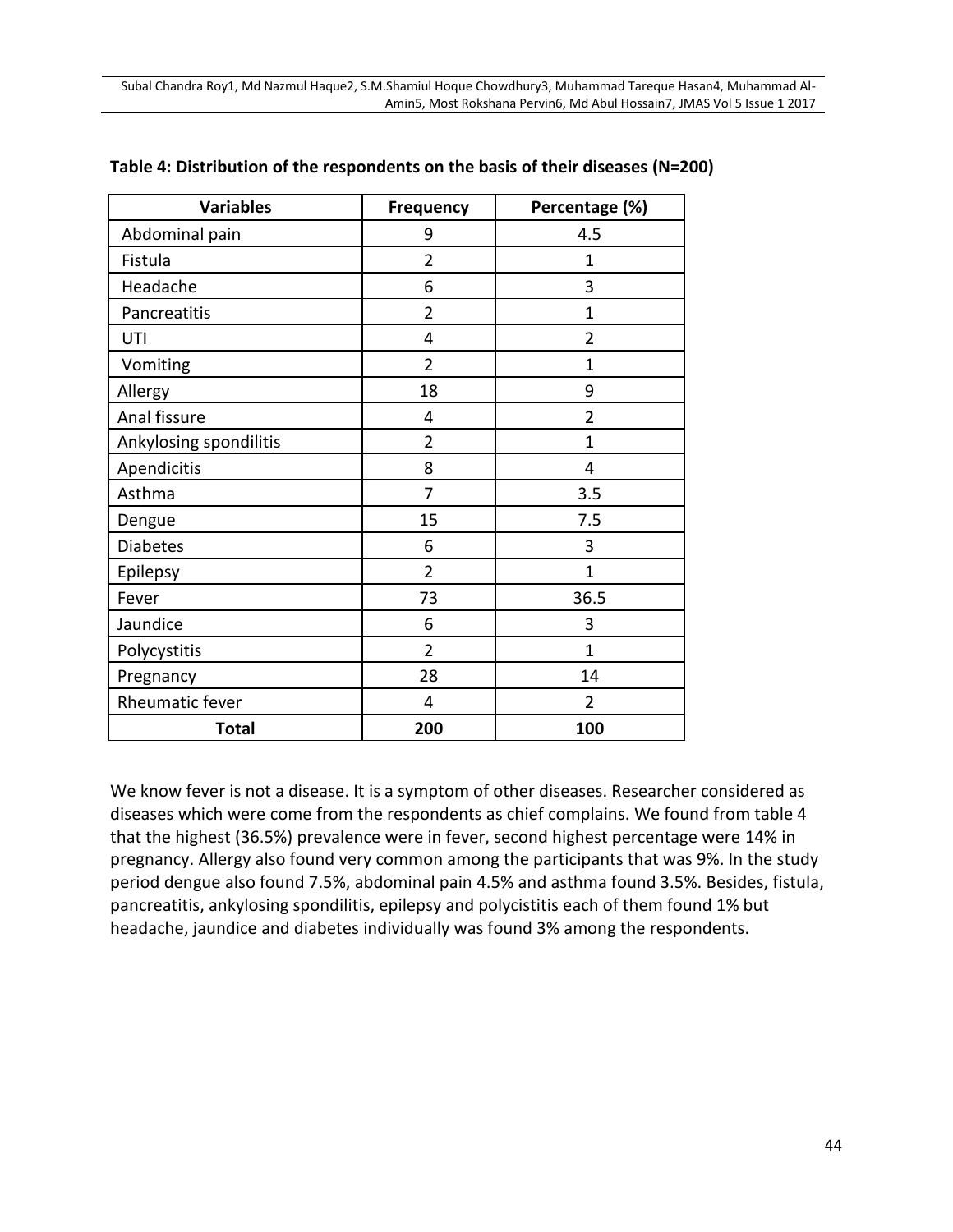| <b>Variables</b>       | Frequency      | Percentage (%) |
|------------------------|----------------|----------------|
| Abdominal pain         | 9              | 4.5            |
| Fistula                | $\overline{2}$ | 1              |
| Headache               | 6              | 3              |
| Pancreatitis           | $\overline{2}$ | $\overline{1}$ |
| UTI                    | 4              | $\overline{2}$ |
| Vomiting               | $\overline{2}$ | 1              |
| Allergy                | 18             | 9              |
| Anal fissure           | 4              | $\overline{2}$ |
| Ankylosing spondilitis | $\overline{2}$ | 1              |
| Apendicitis            | 8              | 4              |
| Asthma                 | 7              | 3.5            |
| Dengue                 | 15             | 7.5            |
| <b>Diabetes</b>        | 6              | 3              |
| Epilepsy               | $\overline{2}$ | $\overline{1}$ |
| Fever                  | 73             | 36.5           |
| Jaundice               | 6              | 3              |
| Polycystitis           | $\overline{2}$ | $\overline{1}$ |
| Pregnancy              | 28             | 14             |
| Rheumatic fever        | 4              | 2              |
| <b>Total</b>           | 200            | 100            |

#### **Table 4: Distribution of the respondents on the basis of their diseases (N=200)**

We know fever is not a disease. It is a symptom of other diseases. Researcher considered as diseases which were come from the respondents as chief complains. We found from table 4 that the highest (36.5%) prevalence were in fever, second highest percentage were 14% in pregnancy. Allergy also found very common among the participants that was 9%. In the study period dengue also found 7.5%, abdominal pain 4.5% and asthma found 3.5%. Besides, fistula, pancreatitis, ankylosing spondilitis, epilepsy and polycistitis each of them found 1% but headache, jaundice and diabetes individually was found 3% among the respondents.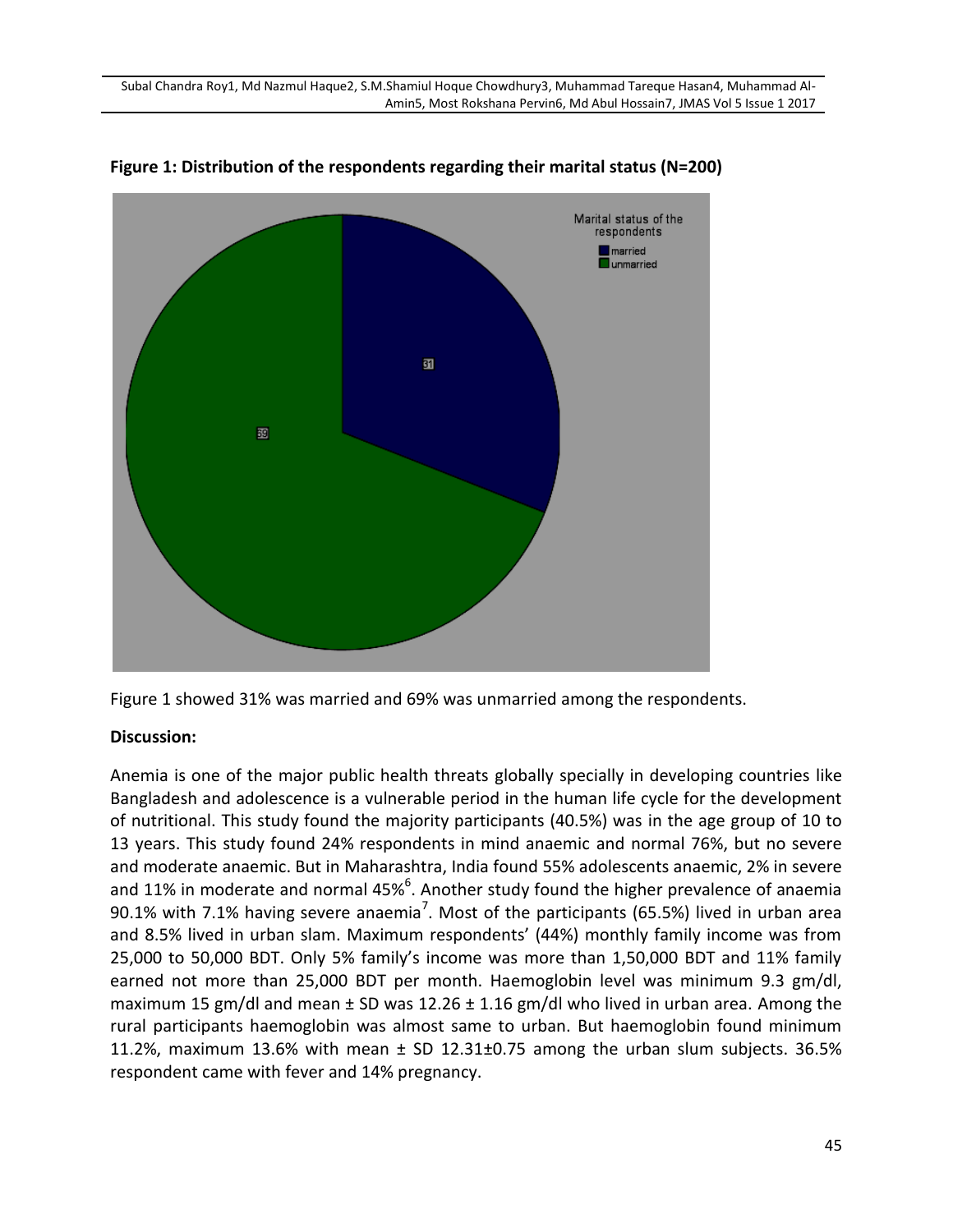

**Figure 1: Distribution of the respondents regarding their marital status (N=200)**

#### **Discussion:**

Anemia is one of the major public health threats globally specially in developing countries like Bangladesh and adolescence is a vulnerable period in the human life cycle for the development of nutritional. This study found the majority participants (40.5%) was in the age group of 10 to 13 years. This study found 24% respondents in mind anaemic and normal 76%, but no severe and moderate anaemic. But in Maharashtra, India found 55% adolescents anaemic, 2% in severe and 11% in moderate and normal 45%<sup>6</sup>. Another study found the higher prevalence of anaemia 90.1% with 7.1% having severe anaemia<sup>7</sup>. Most of the participants (65.5%) lived in urban area and 8.5% lived in urban slam. Maximum respondents' (44%) monthly family income was from 25,000 to 50,000 BDT. Only 5% family's income was more than 1,50,000 BDT and 11% family earned not more than 25,000 BDT per month. Haemoglobin level was minimum 9.3 gm/dl, maximum 15 gm/dl and mean  $\pm$  SD was 12.26  $\pm$  1.16 gm/dl who lived in urban area. Among the rural participants haemoglobin was almost same to urban. But haemoglobin found minimum 11.2%, maximum 13.6% with mean  $\pm$  SD 12.31 $\pm$ 0.75 among the urban slum subjects. 36.5% respondent came with fever and 14% pregnancy.

Figure 1 showed 31% was married and 69% was unmarried among the respondents.